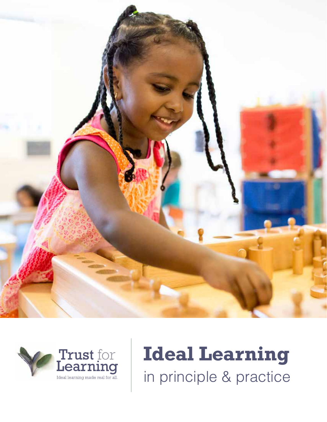



# **Ideal Learning** in principle & practice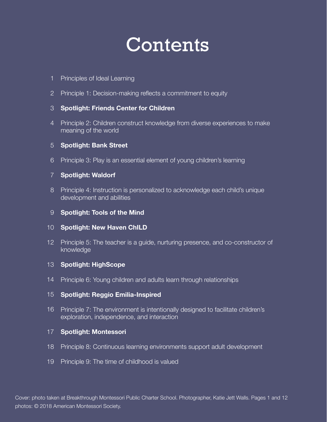# **Contents**

- 1 Principles of Ideal Learning
- 2 Principle 1: Decision-making reflects a commitment to equity

#### **Spotlight: Friends Center for Children** 3

Principle 2: Children construct knowledge from diverse experiences to make 4 meaning of the world

#### **Spotlight: Bank Street** 5

Principle 3: Play is an essential element of young children's learning 6

#### **Spotlight: Waldorf** 7

Principle 4: Instruction is personalized to acknowledge each child's unique 8 development and abilities

#### **Spotlight: Tools of the Mind** 9

#### 10 **Spotlight: New Haven ChILD**

12 Principle 5: The teacher is a guide, nurturing presence, and co-constructor of knowledge

#### 13 **Spotlight: HighScope**

14 Principle 6: Young children and adults learn through relationships

#### **Spotlight: Reggio Emilia-Inspired** 15

16 Principle 7: The environment is intentionally designed to facilitate children's exploration, independence, and interaction

#### **Spotlight: Montessori** 17

- 18 Principle 8: Continuous learning environments support adult development
- 19 Principle 9: The time of childhood is valued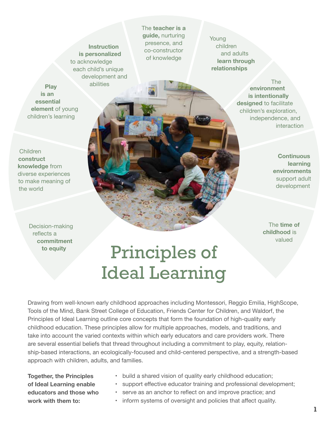**Instruction is personalized**  to acknowledge each child's unique development and abilities

**Play is an essential element** of young children's learning

Children **construct knowledge** from diverse experiences to make meaning of the world

> Decision-making reflects a **commitment to equity**

The **teacher is a guide,** nurturing presence, and co-constructor of knowledge

Young children and adults **learn through relationships**

> **environment is intentionally designed** to facilitate children's exploration, independence, and interaction The

> > **Continuous learning environments** support adult development

The **time of childhood** is valued

# Principles of Ideal Learning

Drawing from well-known early childhood approaches including Montessori, Reggio Emilia, HighScope, Tools of the Mind, Bank Street College of Education, Friends Center for Children, and Waldorf, the Principles of Ideal Learning outline core concepts that form the foundation of high-quality early childhood education. These principles allow for multiple approaches, models, and traditions, and take into account the varied contexts within which early educators and care providers work. There are several essential beliefs that thread throughout including a commitment to play, equity, relationship-based interactions, an ecologically-focused and child-centered perspective, and a strength-based approach with children, adults, and families.

**Together, the Principles of Ideal Learning enable educators and those who work with them to:**

- build a shared vision of quality early childhood education;
- support effective educator training and professional development;
- serve as an anchor to reflect on and improve practice; and
- inform systems of oversight and policies that affect quality.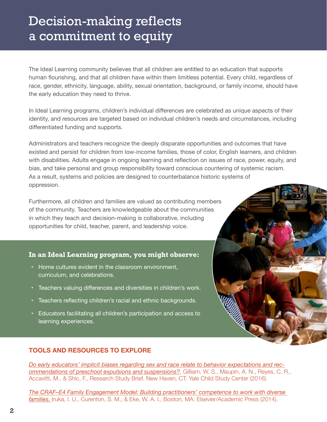## Decision-making reflects a commitment to equity

The Ideal Learning community believes that all children are entitled to an education that supports human flourishing, and that all children have within them limitless potential. Every child, regardless of race, gender, ethnicity, language, ability, sexual orientation, background, or family income, should have the early education they need to thrive.

In Ideal Learning programs, children's individual differences are celebrated as unique aspects of their identity, and resources are targeted based on individual children's needs and circumstances, including differentiated funding and supports.

Administrators and teachers recognize the deeply disparate opportunities and outcomes that have existed and persist for children from low-income families, those of color, English learners, and children with disabilities. Adults engage in ongoing learning and reflection on issues of race, power, equity, and bias, and take personal and group responsibility toward conscious countering of systemic racism. As a result, systems and policies are designed to counterbalance historic systems of oppression.

Furthermore, all children and families are valued as contributing members of the community. Teachers are knowledgeable about the communities in which they teach and decision-making is collaborative, including opportunities for child, teacher, parent, and leadership voice.

#### **In an Ideal Learning program, you might observe:**

- • Home cultures evident in the classroom environment, curriculum, and celebrations.
- Teachers valuing differences and diversities in children's work.
- Teachers reflecting children's racial and ethnic backgrounds.
- • Educators facilitating all children's participation and access to learning experiences.

### **TOOLS AND RESOURCES TO EXPLORE**

*Do early educators' implicit biases regarding sex and race relate to behavior expectations and recommendations of preschool expulsions and suspensions?*, Gilliam, W. S., Maupin, A. N., Reyes, C. R., Accavitti, M., & Shic, F., Research Study Brief. New Haven, CT: Yale Child Study Center (2016).

*The CRAF–E4 Family Engagement Model: Building practitioners' competence to work with diverse families.* Iruka, I. U., Curenton, S. M., & Eke, W. A. I., Boston, MA: Elsevier/Academic Press (2014).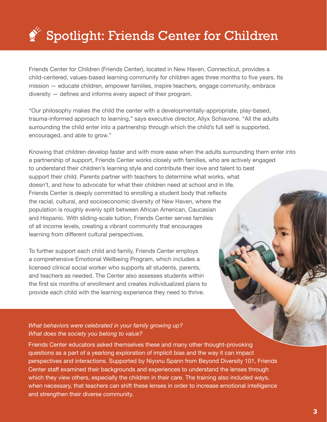# Spotlight: Friends Center for Children

Friends Center for Children (Friends Center), located in New Haven, Connecticut, provides a child-centered, values-based learning community for children ages three months to five years. Its mission — educate children, empower families, inspire teachers, engage community, embrace  $diversity$  — defines and informs every aspect of their program.

"Our philosophy makes the child the center with a developmentally-appropriate, play-based, trauma-informed approach to learning," says executive director, Allyx Schiavone. "All the adults surrounding the child enter into a partnership through which the child's full self is supported, encouraged, and able to grow."

Knowing that children develop faster and with more ease when the adults surrounding them enter into a partnership of support, Friends Center works closely with families, who are actively engaged to understand their children's learning style and contribute their love and talent to best support their child. Parents partner with teachers to determine what works, what doesn't, and how to advocate for what their children need at school and in life. Friends Center is deeply committed to enrolling a student body that reflects the racial, cultural, and socioeconomic diversity of New Haven, where the population is roughly evenly split between African American, Caucasian and Hispanic. With sliding-scale tuition, Friends Center serves families of all income levels, creating a vibrant community that encourages learning from different cultural perspectives.

To further support each child and family, Friends Center employs a comprehensive Emotional Wellbeing Program, which includes a licensed clinical social worker who supports all students, parents, and teachers as needed. The Center also assesses students within the first six months of enrollment and creates individualized plans to provide each child with the learning experience they need to thrive.

#### *What behaviors were celebrated in your family growing up? What does the society you belong to value?*

Friends Center educators asked themselves these and many other thought-provoking questions as a part of a yearlong exploration of implicit bias and the way it can impact perspectives and interactions. Supported by Niyonu Spann from Beyond Diversity 101, Friends Center staff examined their backgrounds and experiences to understand the lenses through which they view others, especially the children in their care. The training also included ways, when necessary, that teachers can shift these lenses in order to increase emotional intelligence and strengthen their diverse community.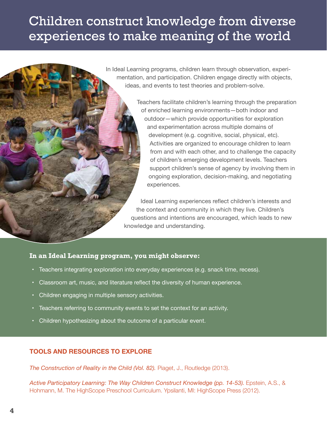## Children construct knowledge from diverse experiences to make meaning of the world

In Ideal Learning programs, children learn through observation, experimentation, and participation. Children engage directly with objects, ideas, and events to test theories and problem-solve.

> Teachers facilitate children's learning through the preparation of enriched learning environments—both indoor and outdoor—which provide opportunities for exploration and experimentation across multiple domains of development (e.g. cognitive, social, physical, etc). Activities are organized to encourage children to learn from and with each other, and to challenge the capacity of children's emerging development levels. Teachers support children's sense of agency by involving them in ongoing exploration, decision-making, and negotiating experiences.

Ideal Learning experiences reflect children's interests and the context and community in which they live. Children's questions and intentions are encouraged, which leads to new knowledge and understanding.

#### **In an Ideal Learning program, you might observe:**

- Teachers integrating exploration into everyday experiences (e.g. snack time, recess).
- Classroom art, music, and literature reflect the diversity of human experience.
- Children engaging in multiple sensory activities.
- Teachers referring to community events to set the context for an activity.
- Children hypothesizing about the outcome of a particular event.

### **TOOLS AND RESOURCES TO EXPLORE**

**The Construction of Reality in the Child (Vol. 82).** Piaget, J., Routledge (2013).

*Active Participatory Learning: The Way Children Construct Knowledge (pp. 14-53).* Epstein, A.S., & Hohmann, M. The HighScope Preschool Curriculum. Ypsilanti, MI: HighScope Press (2012).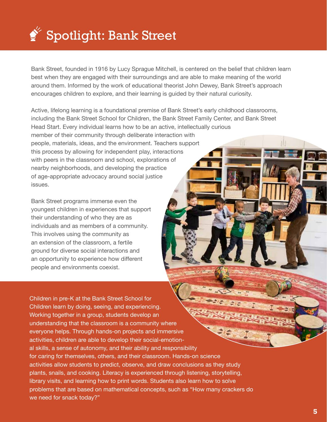

Bank Street, founded in 1916 by Lucy Sprague Mitchell, is centered on the belief that children learn best when they are engaged with their surroundings and are able to make meaning of the world around them. Informed by the work of educational theorist John Dewey, Bank Street's approach encourages children to explore, and their learning is guided by their natural curiosity.

Active, lifelong learning is a foundational premise of Bank Street's early childhood classrooms, including the Bank Street School for Children, the Bank Street Family Center, and Bank Street Head Start. Every individual learns how to be an active, intellectually curious member of their community through deliberate interaction with people, materials, ideas, and the environment. Teachers support this process by allowing for independent play, interactions with peers in the classroom and school, explorations of nearby neighborhoods, and developing the practice of age-appropriate advocacy around social justice issues.

Bank Street programs immerse even the youngest children in experiences that support their understanding of who they are as individuals and as members of a community. This involves using the community as an extension of the classroom, a fertile ground for diverse social interactions and an opportunity to experience how different people and environments coexist.

Children in pre-K at the Bank Street School for Children learn by doing, seeing, and experiencing. Working together in a group, students develop an understanding that the classroom is a community where everyone helps. Through hands-on projects and immersive activities, children are able to develop their social-emotional skills, a sense of autonomy, and their ability and responsibility for caring for themselves, others, and their classroom. Hands-on science activities allow students to predict, observe, and draw conclusions as they study plants, snails, and cooking. Literacy is experienced through listening, storytelling, library visits, and learning how to print words. Students also learn how to solve problems that are based on mathematical concepts, such as "How many crackers do we need for snack today?"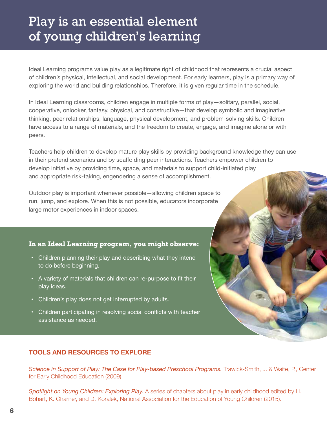## Play is an essential element of young children's learning

Ideal Learning programs value play as a legitimate right of childhood that represents a crucial aspect of children's physical, intellectual, and social development. For early learners, play is a primary way of exploring the world and building relationships. Therefore, it is given regular time in the schedule.

In Ideal Learning classrooms, children engage in multiple forms of play—solitary, parallel, social, cooperative, onlooker, fantasy, physical, and constructive—that develop symbolic and imaginative thinking, peer relationships, language, physical development, and problem-solving skills. Children have access to a range of materials, and the freedom to create, engage, and imagine alone or with peers.

Teachers help children to develop mature play skills by providing background knowledge they can use in their pretend scenarios and by scaffolding peer interactions. Teachers empower children to develop initiative by providing time, space, and materials to support child-initiated play and appropriate risk-taking, engendering a sense of accomplishment.

Outdoor play is important whenever possible—allowing children space to run, jump, and explore. When this is not possible, educators incorporate large motor experiences in indoor spaces.

#### **In an Ideal Learning program, you might observe:**

- Children planning their play and describing what they intend to do before beginning.
- A variety of materials that children can re-purpose to fit their play ideas.
- Children's play does not get interrupted by adults.
- Children participating in resolving social conflicts with teacher assistance as needed.

### **TOOLS AND RESOURCES TO EXPLORE**

**Science in Support of Play: The Case for Play-based Preschool Programs.** Trawick-Smith, J. & Waite, P., Center for Early Childhood Education (2009).

*Spotlight on Young Children: Exploring Play.* A series of chapters about play in early childhood edited by H. Bohart, K. Charner, and D. Koralek, National Association for the Education of Young Children (2015).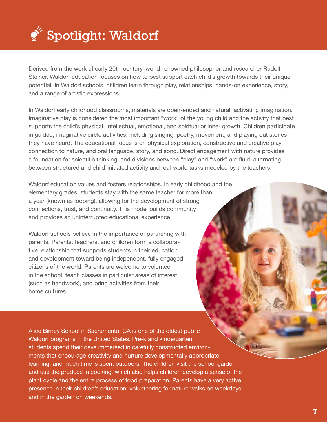

Derived from the work of early 20th-century, world-renowned philosopher and researcher Rudolf Steiner, Waldorf education focuses on how to best support each child's growth towards their unique potential. In Waldorf schools, children learn through play, relationships, hands-on experience, story, and a range of artistic expressions.

In Waldorf early childhood classrooms, materials are open-ended and natural, activating imagination. Imaginative play is considered the most important "work" of the young child and the activity that best supports the child's physical, intellectual, emotional, and spiritual or inner growth. Children participate in guided, imaginative circle activities, including singing, poetry, movement, and playing out stories they have heard. The educational focus is on physical exploration, constructive and creative play, connection to nature, and oral language, story, and song. Direct engagement with nature provides a foundation for scientific thinking, and divisions between "play" and "work" are fluid, alternating between structured and child-initiated activity and real-world tasks modeled by the teachers.

Waldorf education values and fosters relationships. In early childhood and the elementary grades, students stay with the same teacher for more than a year (known as looping), allowing for the development of strong connections, trust, and continuity. This model builds community and provides an uninterrupted educational experience.

Waldorf schools believe in the importance of partnering with parents. Parents, teachers, and children form a collaborative relationship that supports students in their education and development toward being independent, fully engaged citizens of the world. Parents are welcome to volunteer in the school, teach classes in particular areas of interest (such as handwork), and bring activities from their home cultures.

Alice Birney School in Sacramento, CA is one of the oldest public Waldorf programs in the United States. Pre-k and kindergarten students spend their days immersed in carefully constructed environments that encourage creativity and nurture developmentally appropriate learning, and much time is spent outdoors. The children visit the school garden and use the produce in cooking, which also helps children develop a sense of the plant cycle and the entire process of food preparation. Parents have a very active presence in their children's education, volunteering for nature walks on weekdays and in the garden on weekends.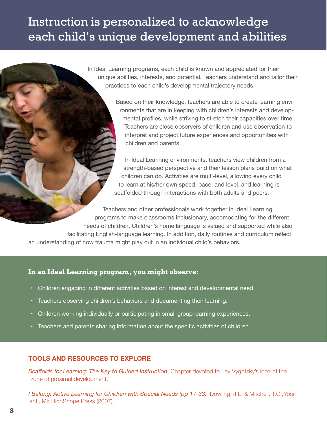### Instruction is personalized to acknowledge each child's unique development and abilities

In Ideal Learning programs, each child is known and appreciated for their unique abilities, interests, and potential. Teachers understand and tailor their practices to each child's developmental trajectory needs.

> Based on their knowledge, teachers are able to create learning environments that are in keeping with children's interests and developmental profiles, while striving to stretch their capacities over time. Teachers are close observers of children and use observation to interpret and project future experiences and opportunities with children and parents.

In Ideal Learning environments, teachers view children from a strength-based perspective and their lesson plans build on what children can do. Activities are multi-level, allowing every child to learn at his/her own speed, pace, and level, and learning is scaffolded through interactions with both adults and peers.

Teachers and other professionals work together in Ideal Learning programs to make classrooms inclusionary, accomodating for the different needs of children. Children's home language is valued and supported while also facilitating English-language learning. In addition, daily routines and curriculum reflect an understanding of how trauma might play out in an individual child's behaviors.

#### **In an Ideal Learning program, you might observe:**

- Children engaging in different activities based on interest and developmental need.
- • Teachers observing children's behaviors and documenting their learning.
- Children working individually or participating in small group learning experiences.
- Teachers and parents sharing information about the specific activities of children.

#### **TOOLS AND RESOURCES TO EXPLORE**

*Scafolds for Learning: The Key to Guided Instruction.* Chapter devoted to Lev Vygotsky's idea of the "zone of proximal development."

*I Belong: Active Learning for Children with Special Needs (pp 17-33).* Dowling, J.L. & Mitchell, T.C., Ypsilanti, MI: HighScope Press (2007).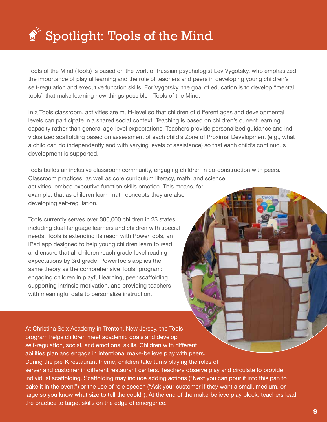

Tools of the Mind (Tools) is based on the work of Russian psychologist Lev Vygotsky, who emphasized the importance of playful learning and the role of teachers and peers in developing young children's self-regulation and executive function skills. For Vygotsky, the goal of education is to develop "mental tools" that make learning new things possible—Tools of the Mind.

In a Tools classroom, activities are multi-level so that children of different ages and developmental levels can participate in a shared social context. Teaching is based on children's current learning capacity rather than general age-level expectations. Teachers provide personalized guidance and individualized scaffolding based on assessment of each child's Zone of Proximal Development (e.g., what a child can do independently and with varying levels of assistance) so that each child's continuous development is supported.

Tools builds an inclusive classroom community, engaging children in co-construction with peers. Classroom practices, as well as core curriculum literacy, math, and science activities, embed executive function skills practice. This means, for example, that as children learn math concepts they are also developing self-regulation.

Tools currently serves over 300,000 children in 23 states, including dual-language learners and children with special needs. Tools is extending its reach with PowerTools, an iPad app designed to help young children learn to read and ensure that all children reach grade-level reading expectations by 3rd grade. PowerTools applies the same theory as the comprehensive Tools' program: engaging children in playful learning, peer scaffolding, supporting intrinsic motivation, and providing teachers with meaningful data to personalize instruction.

At Christina Seix Academy in Trenton, New Jersey, the Tools program helps children meet academic goals and develop self-regulation, social, and emotional skills. Children with different abilities plan and engage in intentional make-believe play with peers. During the pre-K restaurant theme, children take turns playing the roles of server and customer in different restaurant centers. Teachers observe play and circulate to provide individual scaffolding. Scaffolding may include adding actions ("Next you can pour it into this pan to bake it in the oven!") or the use of role speech ("Ask your customer if they want a small, medium, or large so you know what size to tell the cook!"). At the end of the make-believe play block, teachers lead the practice to target skills on the edge of emergence.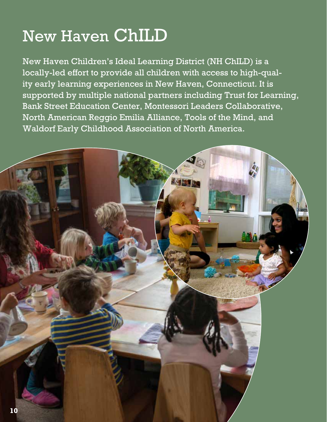# New Haven ChILD

New Haven Children's Ideal Learning District (NH ChILD) is a locally-led effort to provide all children with access to high-quality early learning experiences in New Haven, Connecticut. It is supported by multiple national partners including Trust for Learning, Bank Street Education Center, Montessori Leaders Collaborative, North American Reggio Emilia Alliance, Tools of the Mind, and Waldorf Early Childhood Association of North America.

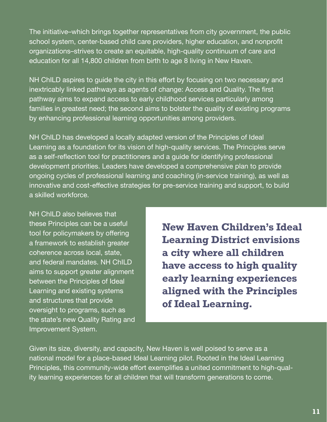The initiative–which brings together representatives from city government, the public school system, center-based child care providers, higher education, and nonprofit organizations–strives to create an equitable, high-quality continuum of care and education for all 14,800 children from birth to age 8 living in New Haven.

NH ChILD aspires to guide the city in this effort by focusing on two necessary and inextricably linked pathways as agents of change: Access and Quality. The first pathway aims to expand access to early childhood services particularly among families in greatest need; the second aims to bolster the quality of existing programs by enhancing professional learning opportunities among providers.

NH ChILD has developed a locally adapted version of the Principles of Ideal Learning as a foundation for its vision of high-quality services. The Principles serve as a self-reflection tool for practitioners and a guide for identifying professional development priorities. Leaders have developed a comprehensive plan to provide ongoing cycles of professional learning and coaching (in-service training), as well as innovative and cost-effective strategies for pre-service training and support, to build a skilled workforce.

NH ChILD also believes that these Principles can be a useful tool for policymakers by offering a framework to establish greater coherence across local, state, and federal mandates. NH ChILD aims to support greater alignment between the Principles of Ideal Learning and existing systems and structures that provide oversight to programs, such as the state's new Quality Rating and Improvement System.

**New Haven Children's Ideal Learning District envisions a city where all children have access to high quality early learning experiences aligned with the Principles of Ideal Learning.** 

Given its size, diversity, and capacity, New Haven is well poised to serve as a national model for a place-based Ideal Learning pilot. Rooted in the Ideal Learning Principles, this community-wide effort exemplifies a united commitment to high-quality learning experiences for all children that will transform generations to come.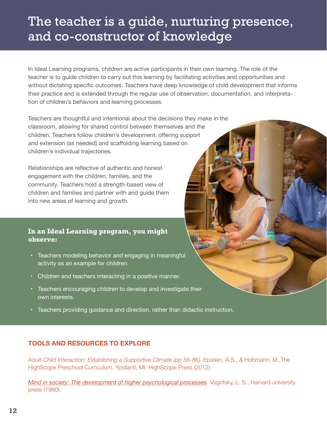## The teacher is a guide, nurturing presence, and co-constructor of knowledge

In Ideal Learning programs, children are active participants in their own learning. The role of the teacher is to guide children to carry out this learning by facilitating activities and opportunities and without dictating specific outcomes. Teachers have deep knowledge of child development that informs their practice and is extended through the regular use of observation, documentation, and interpretation of children's behaviors and learning processes.

Teachers are thoughtful and intentional about the decisions they make in the classroom, allowing for shared control between themselves and the children. Teachers follow children's development, offering support and extension (as needed) and scaffolding learning based on children's individual trajectories.

Relationships are reflective of authentic and honest engagement with the children, families, and the community. Teachers hold a strength-based view of children and families and partner with and guide them into new areas of learning and growth.

#### **In an Ideal Learning program, you might observe:**

- Teachers modeling behavior and engaging in meaningful activity as an example for children.
- • Children and teachers interacting in a positive manner.
- Teachers encouraging children to develop and investigate their own interests.
- • Teachers providing guidance and direction, rather than didactic instruction.

### **TOOLS AND RESOURCES TO EXPLORE**

Adult-Child Interaction: Establishing a Supportive Climate (pp 56-86). Epstein, A.S., & Hohmann, M., The HighScope Preschool Curriculum. Ypsilanti, MI: HighScope Press (2012).

*Mind in society: The development of higher psychological processes. Vygotsky, L. S., Harvard university* press (1980).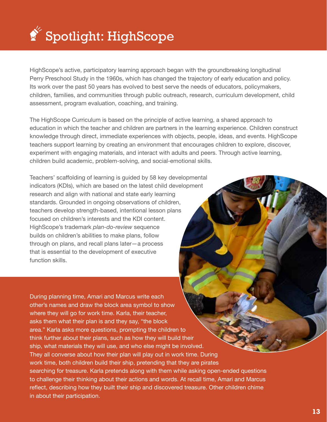

HighScope's active, participatory learning approach began with the groundbreaking longitudinal Perry Preschool Study in the 1960s, which has changed the trajectory of early education and policy. Its work over the past 50 years has evolved to best serve the needs of educators, policymakers, children, families, and communities through public outreach, research, curriculum development, child assessment, program evaluation, coaching, and training.

The HighScope Curriculum is based on the principle of active learning, a shared approach to education in which the teacher and children are partners in the learning experience. Children construct knowledge through direct, immediate experiences with objects, people, ideas, and events. HighScope teachers support learning by creating an environment that encourages children to explore, discover, experiment with engaging materials, and interact with adults and peers. Through active learning, children build academic, problem-solving, and social-emotional skills.

Teachers' scaffolding of learning is guided by 58 key developmental indicators (KDIs), which are based on the latest child development research and align with national and state early learning standards. Grounded in ongoing observations of children, teachers develop strength-based, intentional lesson plans focused on children's interests and the KDI content. HighScope's trademark *plan-do-review* sequence builds on children's abilities to make plans, follow through on plans, and recall plans later—a process that is essential to the development of executive function skills.

During planning time, Amari and Marcus write each other's names and draw the block area symbol to show where they will go for work time. Karla, their teacher, asks them what their plan is and they say, "the block area." Karla asks more questions, prompting the children to think further about their plans, such as how they will build their ship, what materials they will use, and who else might be involved. They all converse about how their plan will play out in work time. During work time, both children build their ship, pretending that they are pirates searching for treasure. Karla pretends along with them while asking open-ended questions to challenge their thinking about their actions and words. At recall time, Amari and Marcus reflect, describing how they built their ship and discovered treasure. Other children chime in about their participation.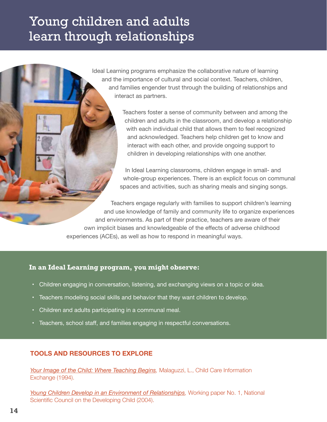## Young children and adults learn through relationships

Ideal Learning programs emphasize the collaborative nature of learning and the importance of cultural and social context. Teachers, children, and families engender trust through the building of relationships and interact as partners.

> Teachers foster a sense of community between and among the children and adults in the classroom, and develop a relationship with each individual child that allows them to feel recognized and acknowledged. Teachers help children get to know and interact with each other, and provide ongoing support to children in developing relationships with one another.

In Ideal Learning classrooms, children engage in small- and whole-group experiences. There is an explicit focus on communal spaces and activities, such as sharing meals and singing songs.

Teachers engage regularly with families to support children's learning and use knowledge of family and community life to organize experiences and environments. As part of their practice, teachers are aware of their own implicit biases and knowledgeable of the effects of adverse childhood experiences (ACEs), as well as how to respond in meaningful ways.

#### **In an Ideal Learning program, you might observe:**

- Children engaging in conversation, listening, and exchanging views on a topic or idea.
- • Teachers modeling social skills and behavior that they want children to develop.
- Children and adults participating in a communal meal.
- Teachers, school staff, and families engaging in respectful conversations.

### **TOOLS AND RESOURCES TO EXPLORE**

Your Image of the Child: Where Teaching Begins, Malaguzzi, L., Child Care Information Exchange (1994).

Young Children Develop in an Environment of Relationships, Working paper No. 1, National Scientific Council on the Developing Child (2004).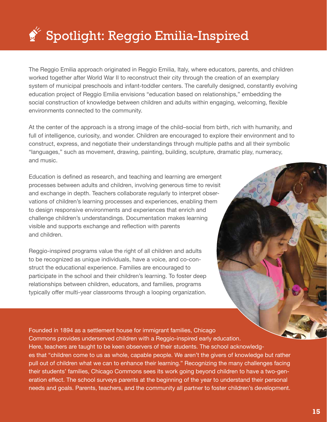# $\bullet$  Spotlight: Reggio Emilia-Inspired

The Reggio Emilia approach originated in Reggio Emilia, Italy, where educators, parents, and children worked together after World War II to reconstruct their city through the creation of an exemplary system of municipal preschools and infant-toddler centers. The carefully designed, constantly evolving education project of Reggio Emilia envisions "education based on relationships," embedding the social construction of knowledge between children and adults within engaging, welcoming, flexible environments connected to the community.

At the center of the approach is a strong image of the child–social from birth, rich with humanity, and full of intelligence, curiosity, and wonder. Children are encouraged to explore their environment and to construct, express, and negotiate their understandings through multiple paths and all their symbolic "languages," such as movement, drawing, painting, building, sculpture, dramatic play, numeracy, and music.

Education is defined as research, and teaching and learning are emergent processes between adults and children, involving generous time to revisit and exchange in depth. Teachers collaborate regularly to interpret observations of children's learning processes and experiences, enabling them to design responsive environments and experiences that enrich and challenge children's understandings. Documentation makes learning visible and supports exchange and reflection with parents and children.

Reggio-inspired programs value the right of all children and adults to be recognized as unique individuals, have a voice, and co-construct the educational experience. Families are encouraged to participate in the school and their children's learning. To foster deep relationships between children, educators, and families, programs typically offer multi-year classrooms through a looping organization.

Founded in 1894 as a settlement house for immigrant families, Chicago Commons provides underserved children with a Reggio-inspired early education. Here, teachers are taught to be keen observers of their students. The school acknowledges that "children come to us as whole, capable people. We aren't the givers of knowledge but rather pull out of children what we can to enhance their learning." Recognizing the many challenges facing their students' families, Chicago Commons sees its work going beyond children to have a two-generation effect. The school surveys parents at the beginning of the year to understand their personal needs and goals. Parents, teachers, and the community all partner to foster children's development.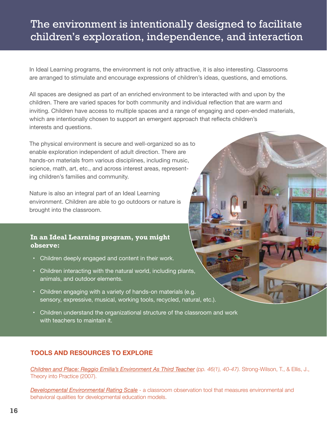### The environment is intentionally designed to facilitate children's exploration, independence, and interaction

In Ideal Learning programs, the environment is not only attractive, it is also interesting. Classrooms are arranged to stimulate and encourage expressions of children's ideas, questions, and emotions.

All spaces are designed as part of an enriched environment to be interacted with and upon by the children. There are varied spaces for both community and individual reflection that are warm and inviting. Children have access to multiple spaces and a range of engaging and open-ended materials, which are intentionally chosen to support an emergent approach that reflects children's interests and questions.

The physical environment is secure and well-organized so as to enable exploration independent of adult direction. There are hands-on materials from various disciplines, including music, science, math, art, etc., and across interest areas, representing children's families and community.

Nature is also an integral part of an Ideal Learning environment. Children are able to go outdoors or nature is brought into the classroom.

#### **In an Ideal Learning program, you might observe:**

- Children deeply engaged and content in their work.
- Children interacting with the natural world, including plants, animals, and outdoor elements.
- Children engaging with a variety of hands-on materials (e.g. sensory, expressive, musical, working tools, recycled, natural, etc.).
- • Children understand the organizational structure of the classroom and work with teachers to maintain it.

### **TOOLS AND RESOURCES TO EXPLORE**

*Children and Place: Reggio Emilia's Environment As Third Teacher (pp. 46(1), 40-47).* Strong-Wilson, T., & Ellis, J., Theory into Practice (2007).

**Developmental Environmental Rating Scale** - a classroom observation tool that measures environmental and behavioral qualities for developmental education models.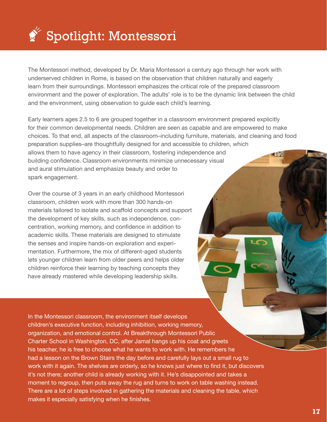

The Montessori method, developed by Dr. Maria Montessori a century ago through her work with underserved children in Rome, is based on the observation that children naturally and eagerly learn from their surroundings. Montessori emphasizes the critical role of the prepared classroom environment and the power of exploration. The adults' role is to be the dynamic link between the child and the environment, using observation to guide each child's learning.

Early learners ages 2.5 to 6 are grouped together in a classroom environment prepared explicitly for their common developmental needs. Children are seen as capable and are empowered to make choices. To that end, all aspects of the classroom–including furniture, materials, and cleaning and food preparation supplies–are thoughtfully designed for and accessible to children, which allows them to have agency in their classroom, fostering independence and **Research** building confidence. Classroom environments minimize unnecessary visual and aural stimulation and emphasize beauty and order to spark engagement.

Over the course of 3 years in an early childhood Montessori classroom, children work with more than 300 hands-on materials tailored to isolate and scaffold concepts and support the development of key skills, such as independence, concentration, working memory, and confidence in addition to academic skills. These materials are designed to stimulate the senses and inspire hands-on exploration and experimentation. Furthermore, the mix of different-aged students lets younger children learn from older peers and helps older children reinforce their learning by teaching concepts they have already mastered while developing leadership skills.

In the Montessori classroom, the environment itself develops children's executive function, including inhibition, working memory, organization, and emotional control. At Breakthrough Montessori Public Charter School in Washington, DC, after Jamal hangs up his coat and greets his teacher, he is free to choose what he wants to work with. He remembers he had a lesson on the Brown Stairs the day before and carefully lays out a small rug to work with it again. The shelves are orderly, so he knows just where to find it, but discovers it's not there; another child is already working with it. He's disappointed and takes a moment to regroup, then puts away the rug and turns to work on table washing instead. There are a lot of steps involved in gathering the materials and cleaning the table, which makes it especially satisfying when he finishes.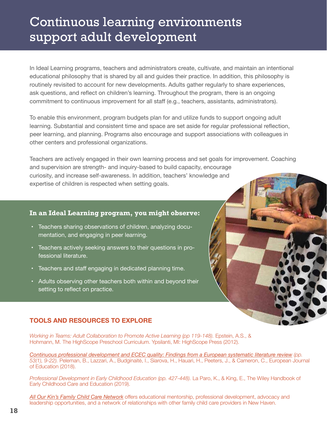## Continuous learning environments support adult development

In Ideal Learning programs, teachers and administrators create, cultivate, and maintain an intentional educational philosophy that is shared by all and guides their practice. In addition, this philosophy is routinely revisited to account for new developments. Adults gather regularly to share experiences, ask questions, and reflect on children's learning. Throughout the program, there is an ongoing commitment to continuous improvement for all staff (e.g., teachers, assistants, administrators).

To enable this environment, program budgets plan for and utilize funds to support ongoing adult learning. Substantial and consistent time and space are set aside for regular professional reflection, peer learning, and planning. Programs also encourage and support associations with colleagues in other centers and professional organizations.

Teachers are actively engaged in their own learning process and set goals for improvement. Coaching and supervision are strength- and inquiry-based to build capacity, encourage curiosity, and increase self-awareness. In addition, teachers' knowledge and expertise of children is respected when setting goals.

#### **In an Ideal Learning program, you might observe:**

- Teachers sharing observations of children, analyzing documentation, and engaging in peer learning.
- Teachers actively seeking answers to their questions in professional literature.
- Teachers and staff engaging in dedicated planning time.
- Adults observing other teachers both within and beyond their setting to reflect on practice.

#### **TOOLS AND RESOURCES TO EXPLORE**

*Working in Teams: Adult Collaboration to Promote Active Learning (pp 119-148).* Epstein, A.S., & Hohmann, M. The HighScope Preschool Curriculum. Ypsilanti, MI: HighScope Press (2012).

*Continuous professional development and ECEC quality: Findings from a European systematic literature review (pp. 53(1), 9-22).* Peleman, B., Lazzari, A., Budginaitė, I., Siarova, H., Hauari, H., Peeters, J., & Cameron, C., European Journal of Education (2018).

*Professional Development in Early Childhood Education (pp. 427-448).* La Paro, K., & King, E., The Wiley Handbook of Early Childhood Care and Education (2019).

**All Our Kin's Family Child Care Network** offers educational mentorship, professional development, advocacy and leadership opportunities, and a network of relationships with other family child care providers in New Haven.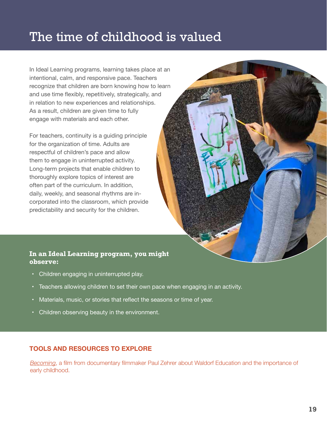### The time of childhood is valued

In Ideal Learning programs, learning takes place at an intentional, calm, and responsive pace. Teachers recognize that children are born knowing how to learn and use time flexibly, repetitively, strategically, and in relation to new experiences and relationships. As a result, children are given time to fully engage with materials and each other.

For teachers, continuity is a guiding principle for the organization of time. Adults are respectful of children's pace and allow them to engage in uninterrupted activity. Long-term projects that enable children to thoroughly explore topics of interest are often part of the curriculum. In addition, daily, weekly, and seasonal rhythms are incorporated into the classroom, which provide predictability and security for the children.

#### **In an Ideal Learning program, you might observe:**

- Children engaging in uninterrupted play.
- Teachers allowing children to set their own pace when engaging in an activity.
- Materials, music, or stories that reflect the seasons or time of year.
- Children observing beauty in the environment.

#### **TOOLS AND RESOURCES TO EXPLORE**

*Becoming*, a flm from documentary flmmaker Paul Zehrer about Waldorf Education and the importance of early childhood.